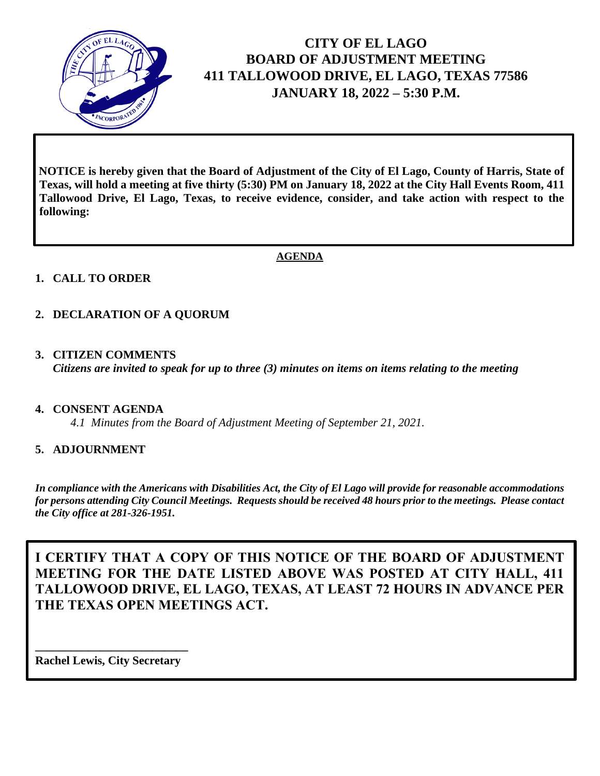

# **CITY OF EL LAGO BOARD OF ADJUSTMENT MEETING 411 TALLOWOOD DRIVE, EL LAGO, TEXAS 77586 JANUARY 18, 2022 – 5:30 P.M.**

**NOTICE is hereby given that the Board of Adjustment of the City of El Lago, County of Harris, State of Texas, will hold a meeting at five thirty (5:30) PM on January 18, 2022 at the City Hall Events Room, 411 Tallowood Drive, El Lago, Texas, to receive evidence, consider, and take action with respect to the following:**

### **AGENDA**

## **1. CALL TO ORDER**

## **2. DECLARATION OF A QUORUM**

**3. CITIZEN COMMENTS** *Citizens are invited to speak for up to three (3) minutes on items on items relating to the meeting*

#### **4. CONSENT AGENDA**

*4.1 Minutes from the Board of Adjustment Meeting of September 21, 2021.*

#### **5. ADJOURNMENT**

*In compliance with the Americans with Disabilities Act, the City of El Lago will provide for reasonable accommodations for persons attending City Council Meetings. Requests should be received 48 hours prior to the meetings. Please contact the City office at 281-326-1951.* 

**I CERTIFY THAT A COPY OF THIS NOTICE OF THE BOARD OF ADJUSTMENT MEETING FOR THE DATE LISTED ABOVE WAS POSTED AT CITY HALL, 411 TALLOWOOD DRIVE, EL LAGO, TEXAS, AT LEAST 72 HOURS IN ADVANCE PER THE TEXAS OPEN MEETINGS ACT.**

**\_\_\_\_\_\_\_\_\_\_\_\_\_\_\_\_\_\_\_\_\_\_\_\_\_\_ Rachel Lewis, City Secretary**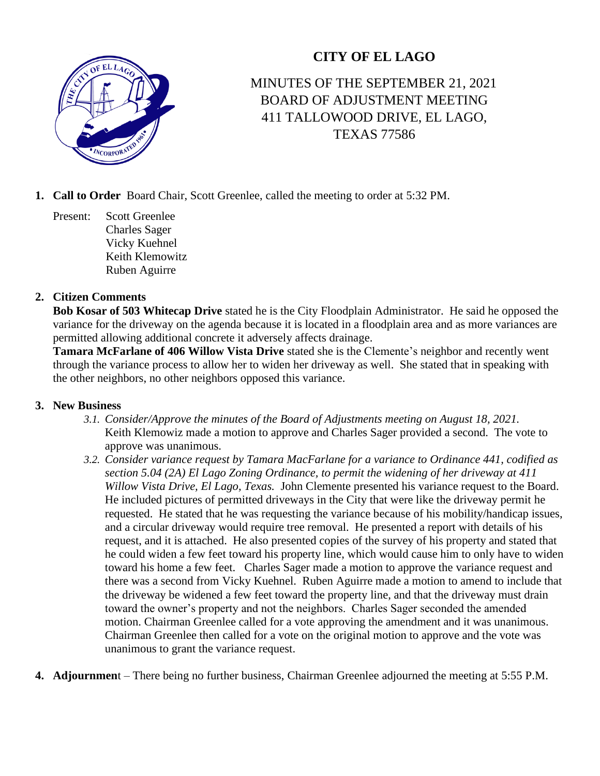## **CITY OF EL LAGO**



## MINUTES OF THE SEPTEMBER 21, 2021 BOARD OF ADJUSTMENT MEETING 411 TALLOWOOD DRIVE, EL LAGO, TEXAS 77586

- **1. Call to Order** Board Chair, Scott Greenlee, called the meeting to order at 5:32 PM.
	- Present: Scott Greenlee Charles Sager Vicky Kuehnel Keith Klemowitz Ruben Aguirre

## **2. Citizen Comments**

**Bob Kosar of 503 Whitecap Drive** stated he is the City Floodplain Administrator. He said he opposed the variance for the driveway on the agenda because it is located in a floodplain area and as more variances are permitted allowing additional concrete it adversely affects drainage.

**Tamara McFarlane of 406 Willow Vista Drive** stated she is the Clemente's neighbor and recently went through the variance process to allow her to widen her driveway as well. She stated that in speaking with the other neighbors, no other neighbors opposed this variance.

#### **3. New Business**

- *3.1. Consider/Approve the minutes of the Board of Adjustments meeting on August 18, 2021.* Keith Klemowiz made a motion to approve and Charles Sager provided a second. The vote to approve was unanimous.
- *3.2. Consider variance request by Tamara MacFarlane for a variance to Ordinance 441, codified as section 5.04 (2A) El Lago Zoning Ordinance, to permit the widening of her driveway at 411 Willow Vista Drive, El Lago, Texas.* John Clemente presented his variance request to the Board. He included pictures of permitted driveways in the City that were like the driveway permit he requested. He stated that he was requesting the variance because of his mobility/handicap issues, and a circular driveway would require tree removal. He presented a report with details of his request, and it is attached. He also presented copies of the survey of his property and stated that he could widen a few feet toward his property line, which would cause him to only have to widen toward his home a few feet. Charles Sager made a motion to approve the variance request and there was a second from Vicky Kuehnel. Ruben Aguirre made a motion to amend to include that the driveway be widened a few feet toward the property line, and that the driveway must drain toward the owner's property and not the neighbors. Charles Sager seconded the amended motion. Chairman Greenlee called for a vote approving the amendment and it was unanimous. Chairman Greenlee then called for a vote on the original motion to approve and the vote was unanimous to grant the variance request.
- **4. Adjournmen**t There being no further business, Chairman Greenlee adjourned the meeting at 5:55 P.M.